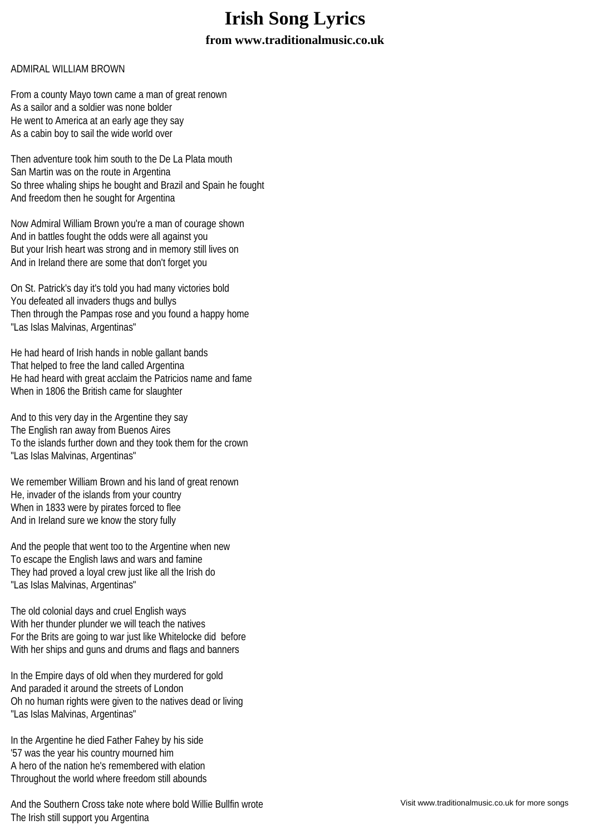## **Irish Song Lyrics from www.traditionalmusic.co.uk**

## ADMIRAL WILLIAM BROWN

From a county Mayo town came a man of great renown As a sailor and a soldier was none bolder He went to America at an early age they say As a cabin boy to sail the wide world over

Then adventure took him south to the De La Plata mouth San Martin was on the route in Argentina So three whaling ships he bought and Brazil and Spain he fought And freedom then he sought for Argentina

Now Admiral William Brown you're a man of courage shown And in battles fought the odds were all against you But your Irish heart was strong and in memory still lives on And in Ireland there are some that don't forget you

On St. Patrick's day it's told you had many victories bold You defeated all invaders thugs and bullys Then through the Pampas rose and you found a happy home "Las Islas Malvinas, Argentinas"

He had heard of Irish hands in noble gallant bands That helped to free the land called Argentina He had heard with great acclaim the Patricios name and fame When in 1806 the British came for slaughter

And to this very day in the Argentine they say The English ran away from Buenos Aires To the islands further down and they took them for the crown "Las Islas Malvinas, Argentinas"

We remember William Brown and his land of great renown He, invader of the islands from your country When in 1833 were by pirates forced to flee And in Ireland sure we know the story fully

And the people that went too to the Argentine when new To escape the English laws and wars and famine They had proved a loyal crew just like all the Irish do "Las Islas Malvinas, Argentinas"

The old colonial days and cruel English ways With her thunder plunder we will teach the natives For the Brits are going to war just like Whitelocke did before With her ships and guns and drums and flags and banners

In the Empire days of old when they murdered for gold And paraded it around the streets of London Oh no human rights were given to the natives dead or living "Las Islas Malvinas, Argentinas"

In the Argentine he died Father Fahey by his side '57 was the year his country mourned him A hero of the nation he's remembered with elation Throughout the world where freedom still abounds

And the Southern Cross take note where bold Willie Bullfin wrote The Irish still support you Argentina